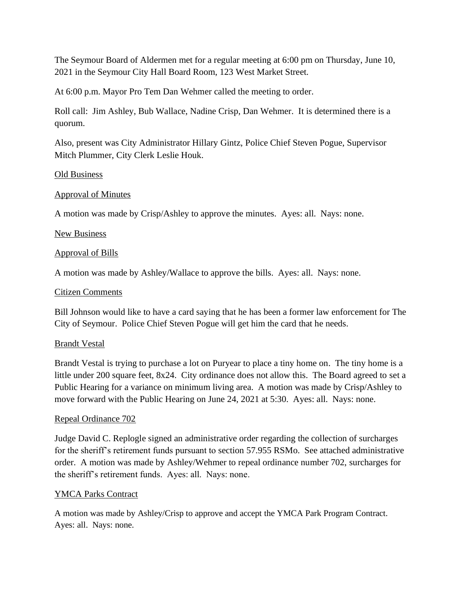The Seymour Board of Aldermen met for a regular meeting at 6:00 pm on Thursday, June 10, 2021 in the Seymour City Hall Board Room, 123 West Market Street.

At 6:00 p.m. Mayor Pro Tem Dan Wehmer called the meeting to order.

Roll call: Jim Ashley, Bub Wallace, Nadine Crisp, Dan Wehmer. It is determined there is a quorum.

Also, present was City Administrator Hillary Gintz, Police Chief Steven Pogue, Supervisor Mitch Plummer, City Clerk Leslie Houk.

#### Old Business

## Approval of Minutes

A motion was made by Crisp/Ashley to approve the minutes. Ayes: all. Nays: none.

## New Business

## Approval of Bills

A motion was made by Ashley/Wallace to approve the bills. Ayes: all. Nays: none.

#### Citizen Comments

Bill Johnson would like to have a card saying that he has been a former law enforcement for The City of Seymour. Police Chief Steven Pogue will get him the card that he needs.

#### Brandt Vestal

Brandt Vestal is trying to purchase a lot on Puryear to place a tiny home on. The tiny home is a little under 200 square feet, 8x24. City ordinance does not allow this. The Board agreed to set a Public Hearing for a variance on minimum living area. A motion was made by Crisp/Ashley to move forward with the Public Hearing on June 24, 2021 at 5:30. Ayes: all. Nays: none.

#### Repeal Ordinance 702

Judge David C. Replogle signed an administrative order regarding the collection of surcharges for the sheriff's retirement funds pursuant to section 57.955 RSMo. See attached administrative order. A motion was made by Ashley/Wehmer to repeal ordinance number 702, surcharges for the sheriff's retirement funds. Ayes: all. Nays: none.

#### YMCA Parks Contract

A motion was made by Ashley/Crisp to approve and accept the YMCA Park Program Contract. Ayes: all. Nays: none.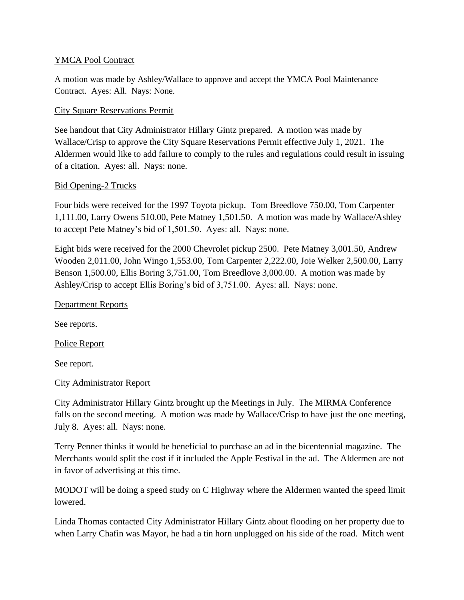## YMCA Pool Contract

A motion was made by Ashley/Wallace to approve and accept the YMCA Pool Maintenance Contract. Ayes: All. Nays: None.

## City Square Reservations Permit

See handout that City Administrator Hillary Gintz prepared. A motion was made by Wallace/Crisp to approve the City Square Reservations Permit effective July 1, 2021. The Aldermen would like to add failure to comply to the rules and regulations could result in issuing of a citation. Ayes: all. Nays: none.

## Bid Opening-2 Trucks

Four bids were received for the 1997 Toyota pickup. Tom Breedlove 750.00, Tom Carpenter 1,111.00, Larry Owens 510.00, Pete Matney 1,501.50. A motion was made by Wallace/Ashley to accept Pete Matney's bid of 1,501.50. Ayes: all. Nays: none.

Eight bids were received for the 2000 Chevrolet pickup 2500. Pete Matney 3,001.50, Andrew Wooden 2,011.00, John Wingo 1,553.00, Tom Carpenter 2,222.00, Joie Welker 2,500.00, Larry Benson 1,500.00, Ellis Boring 3,751.00, Tom Breedlove 3,000.00. A motion was made by Ashley/Crisp to accept Ellis Boring's bid of 3,751.00. Ayes: all. Nays: none.

#### Department Reports

See reports.

Police Report

See report.

#### City Administrator Report

City Administrator Hillary Gintz brought up the Meetings in July. The MIRMA Conference falls on the second meeting. A motion was made by Wallace/Crisp to have just the one meeting, July 8. Ayes: all. Nays: none.

Terry Penner thinks it would be beneficial to purchase an ad in the bicentennial magazine. The Merchants would split the cost if it included the Apple Festival in the ad. The Aldermen are not in favor of advertising at this time.

MODOT will be doing a speed study on C Highway where the Aldermen wanted the speed limit lowered.

Linda Thomas contacted City Administrator Hillary Gintz about flooding on her property due to when Larry Chafin was Mayor, he had a tin horn unplugged on his side of the road. Mitch went